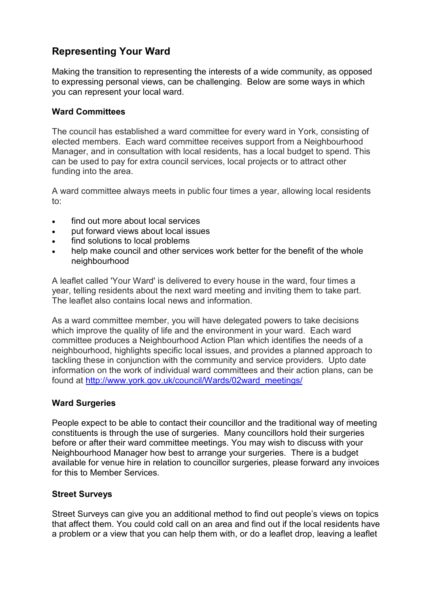# **Representing Your Ward**

Making the transition to representing the interests of a wide community, as opposed to expressing personal views, can be challenging. Below are some ways in which you can represent your local ward.

### **Ward Committees**

The council has established a ward committee for every ward in York, consisting of elected members. Each ward committee receives support from a Neighbourhood Manager, and in consultation with local residents, has a local budget to spend. This can be used to pay for extra council services, local projects or to attract other funding into the area.

A ward committee always meets in public four times a year, allowing local residents to:

- find out more about local services
- put forward views about local issues
- find solutions to local problems
- help make council and other services work better for the benefit of the whole neighbourhood

A leaflet called 'Your Ward' is delivered to every house in the ward, four times a year, telling residents about the next ward meeting and inviting them to take part. The leaflet also contains local news and information.

As a ward committee member, you will have delegated powers to take decisions which improve the quality of life and the environment in your ward. Each ward committee produces a Neighbourhood Action Plan which identifies the needs of a neighbourhood, highlights specific local issues, and provides a planned approach to tackling these in conjunction with the community and service providers. Upto date information on the work of individual ward committees and their action plans, can be found at http://www.york.gov.uk/council/Wards/02ward\_meetings/

## **Ward Surgeries**

People expect to be able to contact their councillor and the traditional way of meeting constituents is through the use of surgeries. Many councillors hold their surgeries before or after their ward committee meetings. You may wish to discuss with your Neighbourhood Manager how best to arrange your surgeries. There is a budget available for venue hire in relation to councillor surgeries, please forward any invoices for this to Member Services.

#### **Street Surveys**

Street Surveys can give you an additional method to find out people's views on topics that affect them. You could cold call on an area and find out if the local residents have a problem or a view that you can help them with, or do a leaflet drop, leaving a leaflet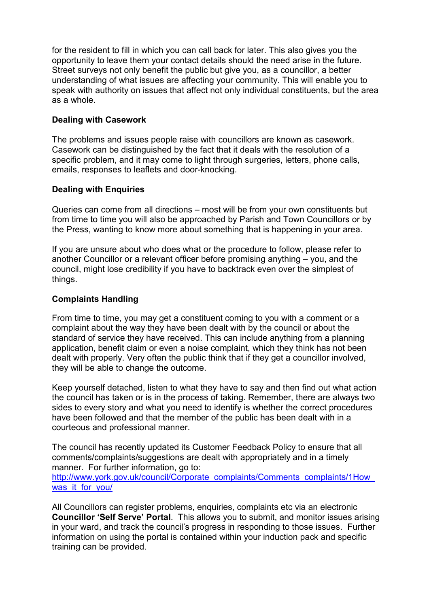for the resident to fill in which you can call back for later. This also gives you the opportunity to leave them your contact details should the need arise in the future. Street surveys not only benefit the public but give you, as a councillor, a better understanding of what issues are affecting your community. This will enable you to speak with authority on issues that affect not only individual constituents, but the area as a whole.

## **Dealing with Casework**

The problems and issues people raise with councillors are known as casework. Casework can be distinguished by the fact that it deals with the resolution of a specific problem, and it may come to light through surgeries, letters, phone calls, emails, responses to leaflets and door-knocking.

### **Dealing with Enquiries**

Queries can come from all directions – most will be from your own constituents but from time to time you will also be approached by Parish and Town Councillors or by the Press, wanting to know more about something that is happening in your area.

If you are unsure about who does what or the procedure to follow, please refer to another Councillor or a relevant officer before promising anything – you, and the council, might lose credibility if you have to backtrack even over the simplest of things.

#### **Complaints Handling**

From time to time, you may get a constituent coming to you with a comment or a complaint about the way they have been dealt with by the council or about the standard of service they have received. This can include anything from a planning application, benefit claim or even a noise complaint, which they think has not been dealt with properly. Very often the public think that if they get a councillor involved, they will be able to change the outcome.

Keep yourself detached, listen to what they have to say and then find out what action the council has taken or is in the process of taking. Remember, there are always two sides to every story and what you need to identify is whether the correct procedures have been followed and that the member of the public has been dealt with in a courteous and professional manner.

The council has recently updated its Customer Feedback Policy to ensure that all comments/complaints/suggestions are dealt with appropriately and in a timely manner. For further information, go to: http://www.york.gov.uk/council/Corporate\_complaints/Comments\_complaints/1How was it for you/

All Councillors can register problems, enquiries, complaints etc via an electronic **Councillor 'Self Serve' Portal**. This allows you to submit, and monitor issues arising in your ward, and track the council's progress in responding to those issues. Further information on using the portal is contained within your induction pack and specific training can be provided.